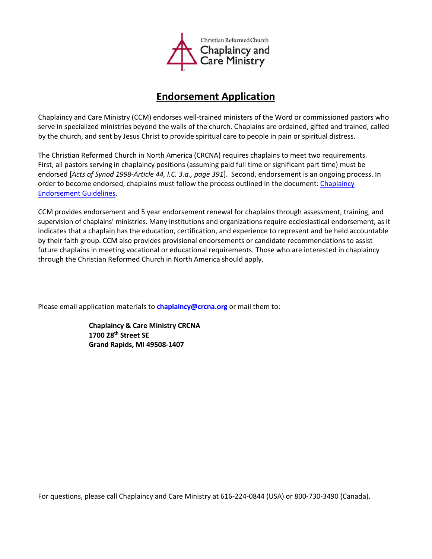

## **Endorsement Application**

Chaplaincy and Care Ministry (CCM) endorses well-trained ministers of the Word or commissioned pastors who serve in specialized ministries beyond the walls of the church. Chaplains are ordained, gifted and trained, called by the church, and sent by Jesus Christ to provide spiritual care to people in pain or spiritual distress.

The Christian Reformed Church in North America (CRCNA) requires chaplains to meet two requirements. First, all pastors serving in chaplaincy positions (assuming paid full time or significant part time) must be endorsed [*Acts of Synod 1998-Article 44, I.C. 3.a., page 391*]. Second, endorsement is an ongoing process. In order to become endorsed, chaplains must follow the process outlined in the document: Chaplaincy [Endorsement Guidelines](https://www.crcna.org/sites/default/files/2018_chaplaincy_endorsement_guidelines.pdf).

CCM provides endorsement and 5 year endorsement renewal for chaplains through assessment, training, and supervision of chaplains' ministries. Many institutions and organizations require ecclesiastical endorsement, as it indicates that a chaplain has the education, certification, and experience to represent and be held accountable by their faith group. CCM also provides provisional endorsements or candidate recommendations to assist future chaplains in meeting vocational or educational requirements. Those who are interested in chaplaincy through the Christian Reformed Church in North America should apply.

Please email application materials to **[chaplaincy@crcna.org](mailto:chaplaincy@crcna.org)** or mail them to:

**Chaplaincy & Care Ministry CRCNA 1700 28th Street SE Grand Rapids, MI 49508-1407**

For questions, please call Chaplaincy and Care Ministry at 616-224-0844 (USA) or 800-730-3490 (Canada).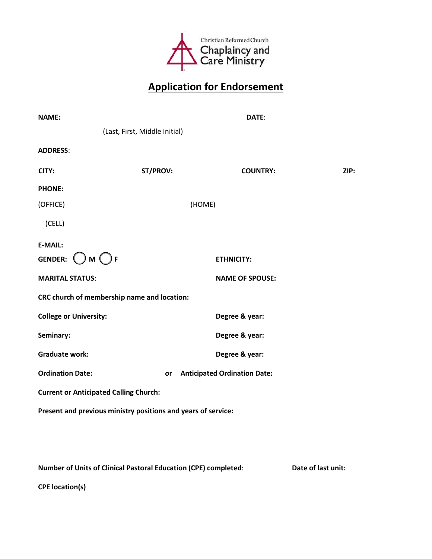

## **Application for Endorsement**

| <b>NAME:</b>                                                  |                               | DATE:                               |      |
|---------------------------------------------------------------|-------------------------------|-------------------------------------|------|
|                                                               | (Last, First, Middle Initial) |                                     |      |
| <b>ADDRESS:</b>                                               |                               |                                     |      |
| CITY:                                                         | ST/PROV:                      | <b>COUNTRY:</b>                     | ZIP: |
| <b>PHONE:</b>                                                 |                               |                                     |      |
| (OFFICE)                                                      |                               | (HOME)                              |      |
| (CELL)                                                        |                               |                                     |      |
| <b>E-MAIL:</b>                                                |                               |                                     |      |
| $\bigcirc$ M $\bigcirc$ F<br><b>GENDER:</b>                   |                               | <b>ETHNICITY:</b>                   |      |
| <b>MARITAL STATUS:</b>                                        |                               | <b>NAME OF SPOUSE:</b>              |      |
| CRC church of membership name and location:                   |                               |                                     |      |
| <b>College or University:</b>                                 |                               | Degree & year:                      |      |
| Seminary:                                                     |                               | Degree & year:                      |      |
| <b>Graduate work:</b>                                         |                               | Degree & year:                      |      |
| <b>Ordination Date:</b><br>or                                 |                               | <b>Anticipated Ordination Date:</b> |      |
| <b>Current or Anticipated Calling Church:</b>                 |                               |                                     |      |
| Present and previous ministry positions and years of service: |                               |                                     |      |
|                                                               |                               |                                     |      |

**Number of Units of Clinical Pastoral Education (CPE) completed**: **Date of last unit:**

**CPE location(s)**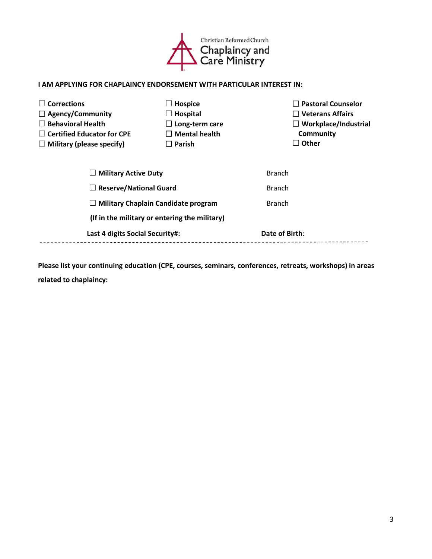

## **I AM APPLYING FOR CHAPLAINCY ENDORSEMENT WITH PARTICULAR INTEREST IN:**

| <b>Corrections</b>                         | <b>Hospice</b>                                | $\Box$ Pastoral Counselor   |
|--------------------------------------------|-----------------------------------------------|-----------------------------|
| $\Box$ Agency/Community                    | $\Box$ Hospital                               | $\Box$ Veterans Affairs     |
| <b>Behavioral Health</b>                   | $\Box$ Long-term care                         | $\Box$ Workplace/Industrial |
| $\Box$ Certified Educator for CPE          | $\Box$ Mental health                          | Community                   |
| $\Box$ Military (please specify)           | $\Box$ Parish                                 | $\Box$ Other                |
| $\Box$ Military Active Duty                |                                               | <b>Branch</b>               |
| $\Box$ Reserve/National Guard              |                                               | <b>Branch</b>               |
| <b>Military Chaplain Candidate program</b> |                                               | <b>Branch</b>               |
|                                            | (If in the military or entering the military) |                             |
| Last 4 digits Social Security#:            |                                               | Date of Birth:              |
|                                            |                                               |                             |

**Please list your continuing education (CPE, courses, seminars, conferences, retreats, workshops) in areas related to chaplaincy:**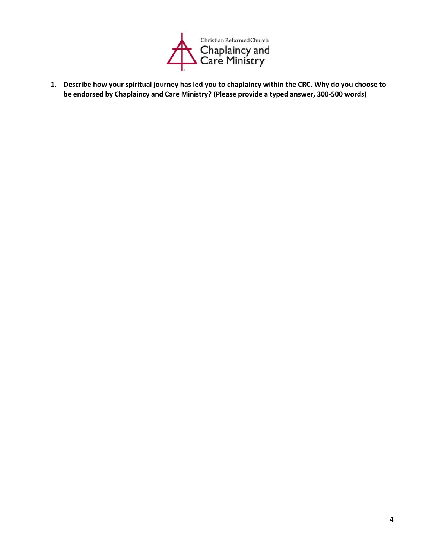

**1. Describe how your spiritual journey has led you to chaplaincy within the CRC. Why do you choose to be endorsed by Chaplaincy and Care Ministry? (Please provide a typed answer, 300-500 words)**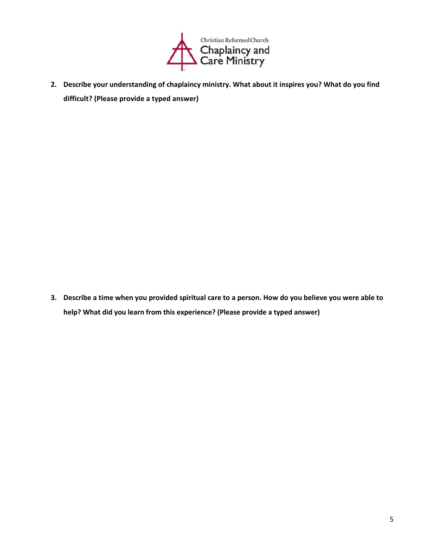

**2. Describe your understanding of chaplaincy ministry. What about it inspires you? What do you find difficult? (Please provide a typed answer)**

**3. Describe a time when you provided spiritual care to a person. How do you believe you were able to help? What did you learn from this experience? (Please provide a typed answer)**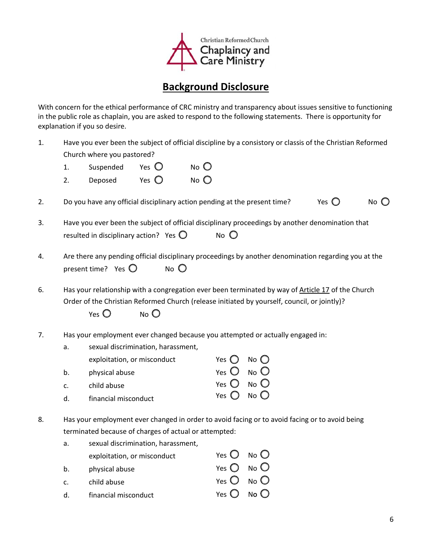

## **Background Disclosure**

With concern for the ethical performance of CRC ministry and transparency about issues sensitive to functioning in the public role as chaplain, you are asked to respond to the following statements. There is opportunity for explanation if you so desire.

- 1. Have you ever been the subject of official discipline by a consistory or classis of the Christian Reformed Church where you pastored?
	- 1. Suspended Yes  $\bigcirc$  No  $\bigcirc$
	- 2. Deposed Yes  $\bigcirc$  No  $\bigcirc$
- 2. Do you have any official disciplinary action pending at the present time? Yes  $\bigcirc$  No  $\bigcirc$
- 3. Have you ever been the subject of official disciplinary proceedings by another denomination that resulted in disciplinary action? Yes  $\bigcirc$  No  $\bigcirc$
- 4. Are there any pending official disciplinary proceedings by another denomination regarding you at the present time? Yes  $\bigcirc$  No  $\bigcirc$
- 6. Has your relationship with a congregation ever been terminated by way of Article 17 of the Church Order of the Christian Reformed Church (release initiated by yourself, council, or jointly)?

Yes  $\bigcirc$  No  $\bigcirc$ 

- 7. Has your employment ever changed because you attempted or actually engaged in:
	- a. sexual discrimination, harassment, exploitation, or misconduct b. physical abuse c. child abuse d. financial misconduct Yes  $\bigcirc$  No  $\bigcirc$  $Yes$  O  $No$  O Yes  $O$  No  $O$ Yes  $\bigcirc$  No  $\bigcirc$
- 8. Has your employment ever changed in order to avoid facing or to avoid facing or to avoid being terminated because of charges of actual or attempted:

| a.          | sexual discrimination, harassment, |                              |  |
|-------------|------------------------------------|------------------------------|--|
|             | exploitation, or misconduct        | Yes $O$ No $O$               |  |
| b.          | physical abuse                     | Yes $\bigcirc$ No $\bigcirc$ |  |
| $C_{\cdot}$ | child abuse                        | Yes $O$ No $O$               |  |
| $d_{\cdot}$ | financial misconduct               | Yes $\bigcirc$ No $\bigcirc$ |  |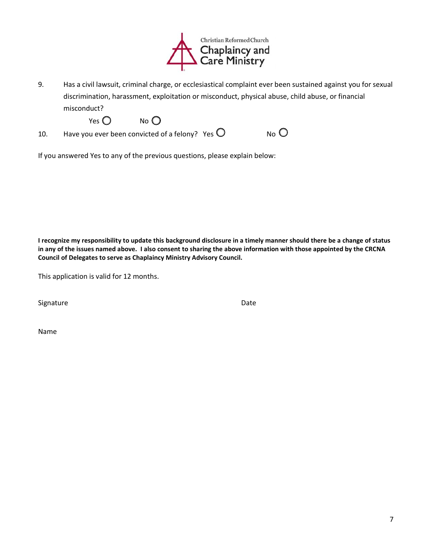

9. Has a civil lawsuit, criminal charge, or ecclesiastical complaint ever been sustained against you for sexual discrimination, harassment, exploitation or misconduct, physical abuse, child abuse, or financial misconduct?

Yes  $\bigcirc$  No  $\bigcirc$ 

10. Have you ever been convicted of a felony? Yes  $\bigcirc$ 

If you answered Yes to any of the previous questions, please explain below:

**I recognize my responsibility to update this background disclosure in a timely manner should there be a change of status in any of the issues named above. I also consent to sharing the above information with those appointed by the CRCNA Council of Delegates to serve as Chaplaincy Ministry Advisory Council.**

This application is valid for 12 months.

Signature Date Date Date Date

Name